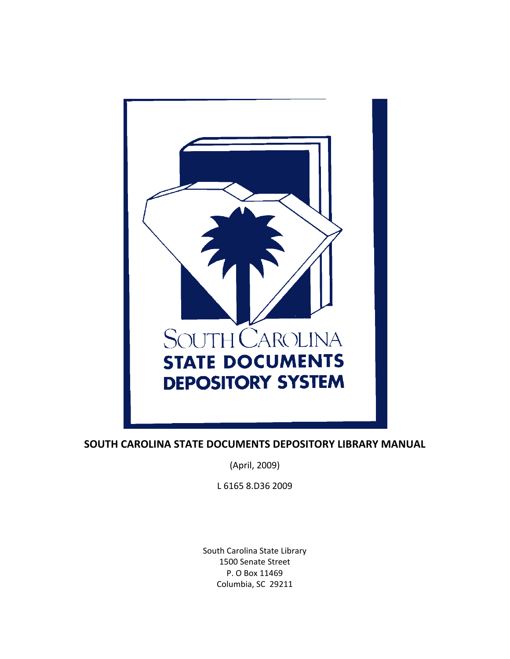

**SOUTH CAROLINA STATE DOCUMENTS DEPOSITORY LIBRARY MANUAL**

(April, 2009)

L 6165 8.D36 2009

South Carolina State Library 1500 Senate Street P. O Box 11469 Columbia, SC 29211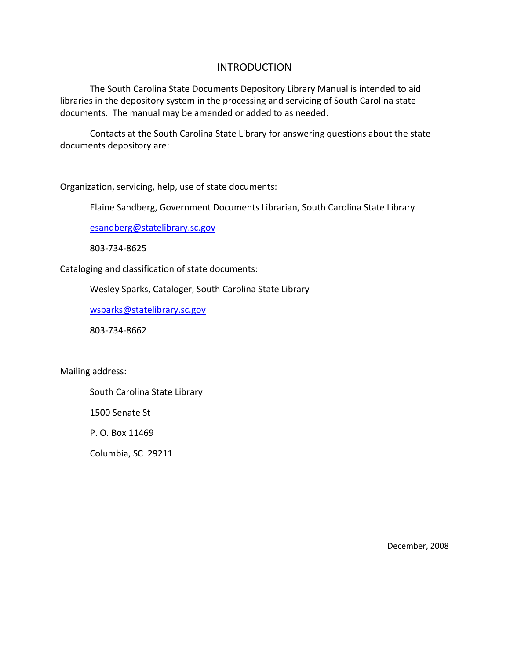## **INTRODUCTION**

The South Carolina State Documents Depository Library Manual is intended to aid libraries in the depository system in the processing and servicing of South Carolina state documents. The manual may be amended or added to as needed.

Contacts at the South Carolina State Library for answering questions about the state documents depository are:

Organization, servicing, help, use of state documents:

Elaine Sandberg, Government Documents Librarian, South Carolina State Library

esandberg@statelibrary.sc.gov

803‐734‐8625

Cataloging and classification of state documents:

Wesley Sparks, Cataloger, South Carolina State Library

wsparks@statelibrary.sc.gov

803‐734‐8662

Mailing address:

South Carolina State Library

1500 Senate St

P. O. Box 11469

Columbia, SC 29211

December, 2008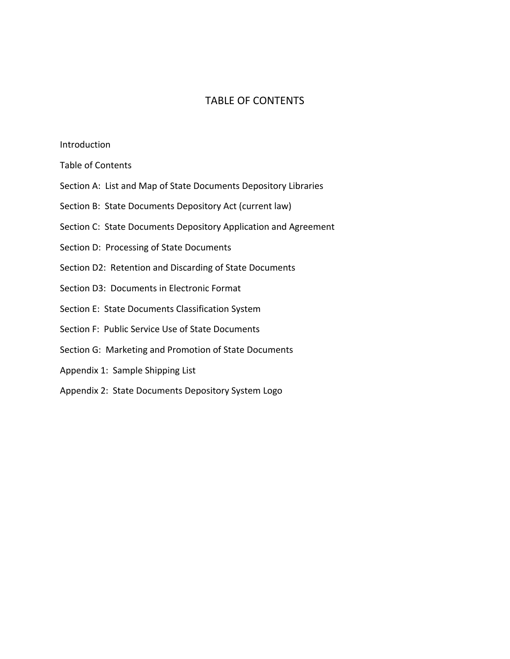## TABLE OF CONTENTS

#### Introduction

- Table of Contents
- Section A: List and Map of State Documents Depository Libraries
- Section B: State Documents Depository Act (current law)
- Section C: State Documents Depository Application and Agreement
- Section D: Processing of State Documents
- Section D2: Retention and Discarding of State Documents
- Section D3: Documents in Electronic Format
- Section E: State Documents Classification System
- Section F: Public Service Use of State Documents
- Section G: Marketing and Promotion of State Documents
- Appendix 1: Sample Shipping List
- Appendix 2: State Documents Depository System Logo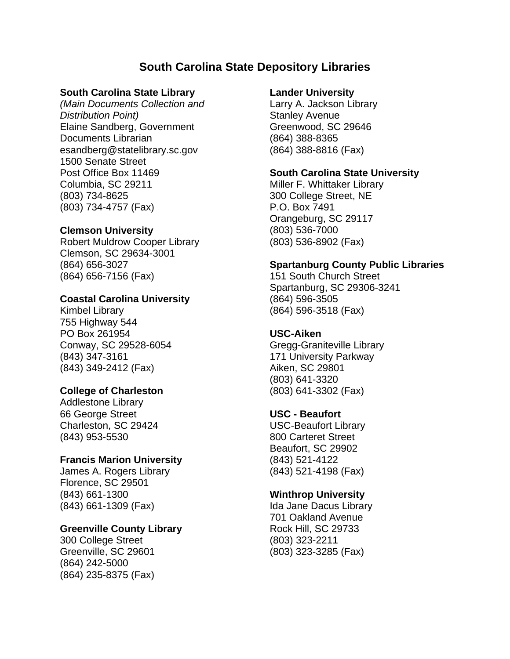# **South Carolina State Depository Libraries**

## **South Carolina State Library**

*(Main Documents Collection and Distribution Point)*  Elaine Sandberg, Government Documents Librarian esandberg@statelibrary.sc.gov 1500 Senate Street Post Office Box 11469 Columbia, SC 29211 (803) 734-8625 (803) 734-4757 (Fax)

### **Clemson University**

Robert Muldrow Cooper Library Clemson, SC 29634-3001 (864) 656-3027 (864) 656-7156 (Fax)

## **Coastal Carolina University**

Kimbel Library 755 Highway 544 PO Box 261954 Conway, SC 29528-6054 (843) 347-3161 (843) 349-2412 (Fax)

### **College of Charleston**

Addlestone Library 66 George Street Charleston, SC 29424 (843) 953-5530

### **Francis Marion University**

James A. Rogers Library Florence, SC 29501 (843) 661-1300 (843) 661-1309 (Fax)

### **Greenville County Library**

300 College Street Greenville, SC 29601 (864) 242-5000 (864) 235-8375 (Fax)

### **Lander University**

Larry A. Jackson Library Stanley Avenue Greenwood, SC 29646 (864) 388-8365 (864) 388-8816 (Fax)

## **South Carolina State University**

Miller F. Whittaker Library 300 College Street, NE P.O. Box 7491 Orangeburg, SC 29117 (803) 536-7000 (803) 536-8902 (Fax)

## **Spartanburg County Public Libraries**

151 South Church Street Spartanburg, SC 29306-3241 (864) 596-3505 (864) 596-3518 (Fax)

## **USC-Aiken**

Gregg-Graniteville Library 171 University Parkway Aiken, SC 29801 (803) 641-3320 (803) 641-3302 (Fax)

### **USC - Beaufort**

USC-Beaufort Library 800 Carteret Street Beaufort, SC 29902 (843) 521-4122 (843) 521-4198 (Fax)

## **Winthrop University**

Ida Jane Dacus Library 701 Oakland Avenue Rock Hill, SC 29733 (803) 323-2211 (803) 323-3285 (Fax)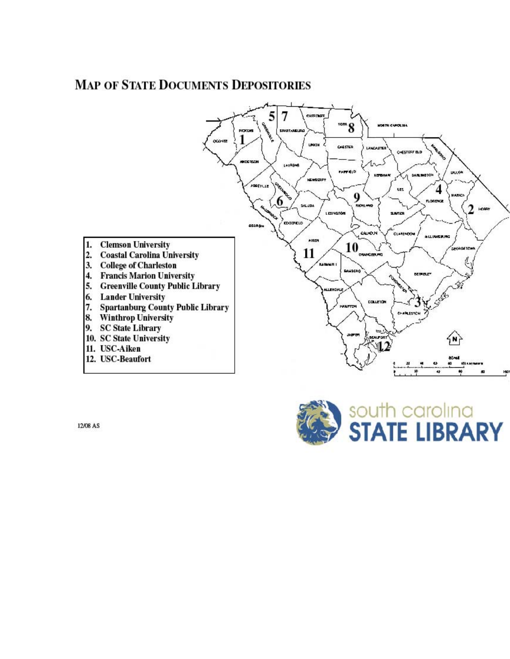# **MAP OF STATE DOCUMENTS DEPOSITORIES**





12/08 AS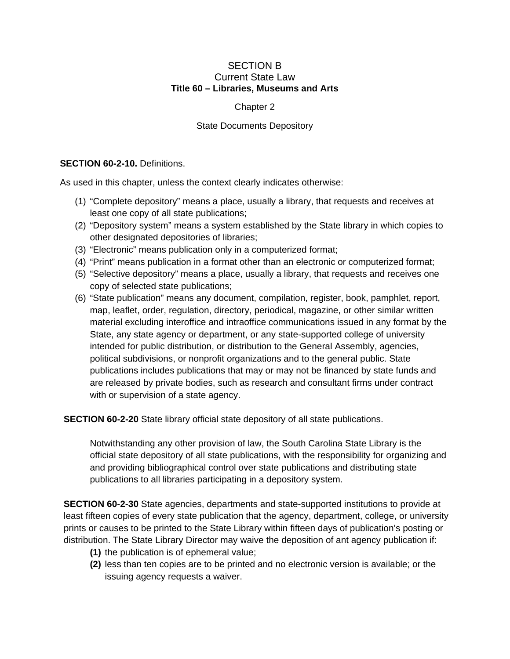#### SECTION B Current State Law **Title 60 – Libraries, Museums and Arts**

#### Chapter 2

#### State Documents Depository

#### **SECTION 60-2-10. Definitions.**

As used in this chapter, unless the context clearly indicates otherwise:

- (1) "Complete depository" means a place, usually a library, that requests and receives at least one copy of all state publications;
- (2) "Depository system" means a system established by the State library in which copies to other designated depositories of libraries;
- (3) "Electronic" means publication only in a computerized format;
- (4) "Print" means publication in a format other than an electronic or computerized format;
- (5) "Selective depository" means a place, usually a library, that requests and receives one copy of selected state publications;
- (6) "State publication" means any document, compilation, register, book, pamphlet, report, map, leaflet, order, regulation, directory, periodical, magazine, or other similar written material excluding interoffice and intraoffice communications issued in any format by the State, any state agency or department, or any state-supported college of university intended for public distribution, or distribution to the General Assembly, agencies, political subdivisions, or nonprofit organizations and to the general public. State publications includes publications that may or may not be financed by state funds and are released by private bodies, such as research and consultant firms under contract with or supervision of a state agency.

**SECTION 60-2-20** State library official state depository of all state publications.

Notwithstanding any other provision of law, the South Carolina State Library is the official state depository of all state publications, with the responsibility for organizing and and providing bibliographical control over state publications and distributing state publications to all libraries participating in a depository system.

**SECTION 60-2-30** State agencies, departments and state-supported institutions to provide at least fifteen copies of every state publication that the agency, department, college, or university prints or causes to be printed to the State Library within fifteen days of publication's posting or distribution. The State Library Director may waive the deposition of ant agency publication if:

- **(1)** the publication is of ephemeral value;
- **(2)** less than ten copies are to be printed and no electronic version is available; or the issuing agency requests a waiver.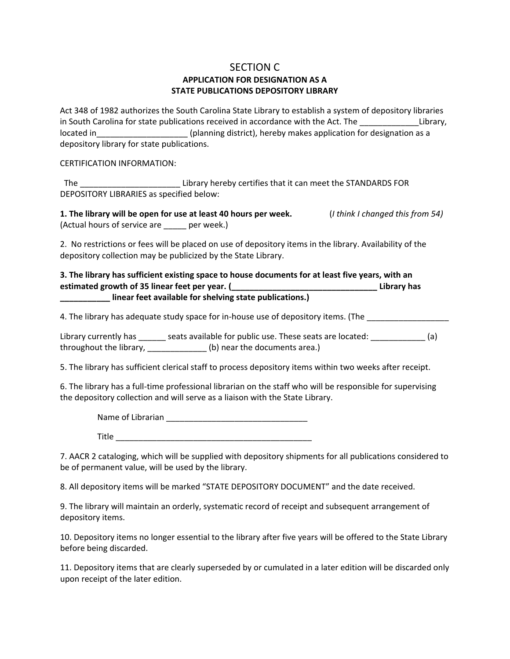#### SECTION C **APPLICATION FOR DESIGNATION AS A STATE PUBLICATIONS DEPOSITORY LIBRARY**

Act 348 of 1982 authorizes the South Carolina State Library to establish a system of depository libraries in South Carolina for state publications received in accordance with the Act. The The Library, located in\_\_\_\_\_\_\_\_\_\_\_\_\_\_\_\_\_\_\_\_\_\_\_(planning district), hereby makes application for designation as a depository library for state publications.

CERTIFICATION INFORMATION:

 The \_\_\_\_\_\_\_\_\_\_\_\_\_\_\_\_\_\_\_\_\_\_ Library hereby certifies that it can meet the STANDARDS FOR DEPOSITORY LIBRARIES as specified below:

1. The library will be open for use at least 40 hours per week. (*I think I changed this from 54*) (Actual hours of service are expressed per week.)

2. No restrictions or fees will be placed on use of depository items in the library. Availability of the depository collection may be publicized by the State Library.

**3. The library has sufficient existing space to house documents for at least five years, with an estimated growth of 35 linear feet per year. (\_\_\_\_\_\_\_\_\_\_\_\_\_\_\_\_\_\_\_\_\_\_\_\_\_\_\_\_\_\_\_\_ Library has \_\_\_\_\_\_\_\_\_\_\_ linear feet available for shelving state publications.)**

4. The library has adequate study space for in-house use of depository items. (The

Library currently has \_\_\_\_\_\_ seats available for public use. These seats are located: \_\_\_\_\_\_\_\_\_\_\_\_\_ (a) throughout the library, \_\_\_\_\_\_\_\_\_\_\_\_\_ (b) near the documents area.)

5. The library has sufficient clerical staff to process depository items within two weeks after receipt.

6. The library has a full‐time professional librarian on the staff who will be responsible for supervising the depository collection and will serve as a liaison with the State Library.

Name of Librarian **Name of Librarian** 

 $\blacksquare$  Title

7. AACR 2 cataloging, which will be supplied with depository shipments for all publications considered to be of permanent value, will be used by the library.

8. All depository items will be marked "STATE DEPOSITORY DOCUMENT" and the date received.

9. The library will maintain an orderly, systematic record of receipt and subsequent arrangement of depository items.

10. Depository items no longer essential to the library after five years will be offered to the State Library before being discarded.

11. Depository items that are clearly superseded by or cumulated in a later edition will be discarded only upon receipt of the later edition.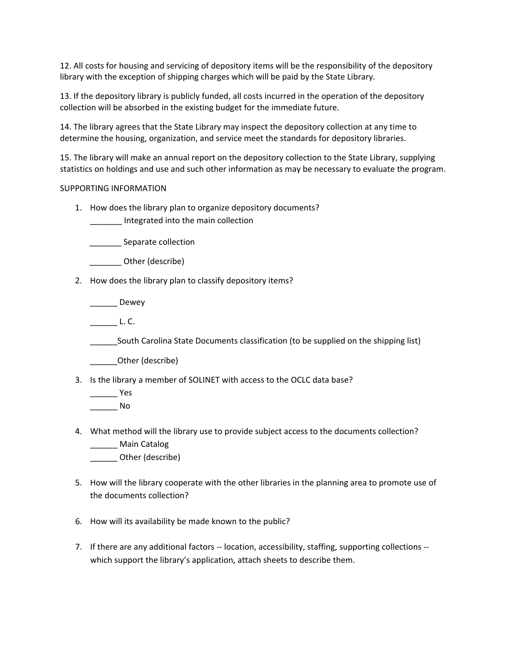12. All costs for housing and servicing of depository items will be the responsibility of the depository library with the exception of shipping charges which will be paid by the State Library.

13. If the depository library is publicly funded, all costs incurred in the operation of the depository collection will be absorbed in the existing budget for the immediate future.

14. The library agrees that the State Library may inspect the depository collection at any time to determine the housing, organization, and service meet the standards for depository libraries.

15. The library will make an annual report on the depository collection to the State Library, supplying statistics on holdings and use and such other information as may be necessary to evaluate the program.

#### SUPPORTING INFORMATION

- 1. How does the library plan to organize depository documents?
	- \_\_\_\_\_\_\_ Integrated into the main collection

Separate collection

- Other (describe)
- 2. How does the library plan to classify depository items?

\_\_\_\_\_\_ Dewey

 $L. C.$ 

\_\_\_\_\_\_South Carolina State Documents classification (to be supplied on the shipping list)

\_\_\_\_\_\_Other (describe)

3. Is the library a member of SOLINET with access to the OCLC data base?

\_\_\_\_\_\_ Yes

\_\_\_\_\_\_ No

- 4. What method will the library use to provide subject access to the documents collection?
	- Main Catalog
	- \_\_\_\_\_\_ Other (describe)
- 5. How will the library cooperate with the other libraries in the planning area to promote use of the documents collection?
- 6. How will its availability be made known to the public?
- 7. If there are any additional factors -- location, accessibility, staffing, supporting collections -which support the library's application, attach sheets to describe them.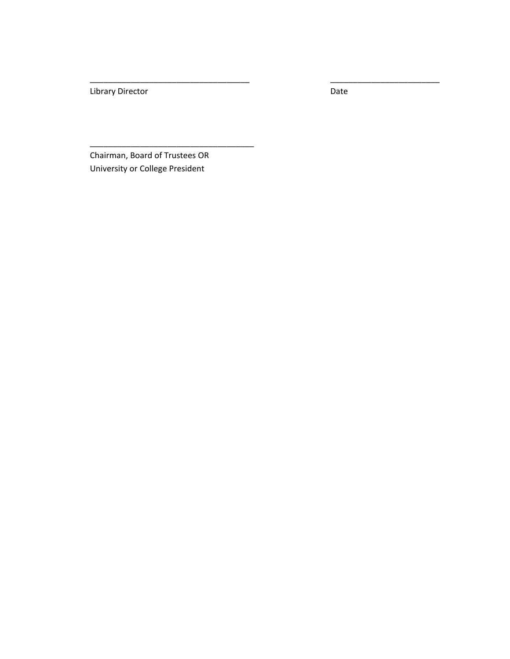Library Director **Distribution Contains a Contain Contains Containing Contains Contains Contains Contains Contains Contains Contains Contains Contains Contains Contains Contains Contains Contains Contains Contains Contains** 

\_\_\_\_\_\_\_\_\_\_\_\_\_\_\_\_\_\_\_\_\_\_\_\_\_\_\_\_\_\_\_\_\_\_\_ \_\_\_\_\_\_\_\_\_\_\_\_\_\_\_\_\_\_\_\_\_\_\_\_

Chairman, Board of Trustees OR University or College President

\_\_\_\_\_\_\_\_\_\_\_\_\_\_\_\_\_\_\_\_\_\_\_\_\_\_\_\_\_\_\_\_\_\_\_\_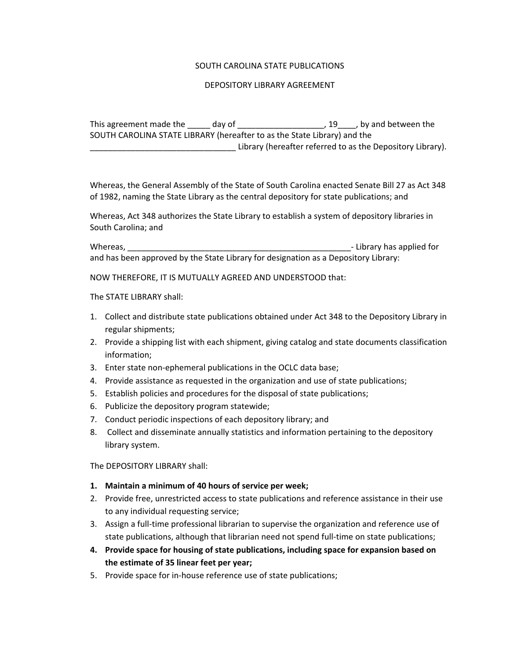#### SOUTH CAROLINA STATE PUBLICATIONS

#### DEPOSITORY LIBRARY AGREEMENT

This agreement made the day of the control of the control of the control of the day of the control of the control of the control of the control of the control of the control of the control of the control of the control of SOUTH CAROLINA STATE LIBRARY (hereafter to as the State Library) and the Library (hereafter referred to as the Depository Library).

Whereas, the General Assembly of the State of South Carolina enacted Senate Bill 27 as Act 348 of 1982, naming the State Library as the central depository for state publications; and

Whereas, Act 348 authorizes the State Library to establish a system of depository libraries in South Carolina; and

Whereas, \_\_\_\_\_\_\_\_\_\_\_\_\_\_\_\_\_\_\_\_\_\_\_\_\_\_\_\_\_\_\_\_\_\_\_\_\_\_\_\_\_\_\_\_\_\_\_\_\_‐ Library has applied for and has been approved by the State Library for designation as a Depository Library:

NOW THEREFORE, IT IS MUTUALLY AGREED AND UNDERSTOOD that:

The STATE LIBRARY shall:

- 1. Collect and distribute state publications obtained under Act 348 to the Depository Library in regular shipments;
- 2. Provide a shipping list with each shipment, giving catalog and state documents classification information;
- 3. Enter state non-ephemeral publications in the OCLC data base;
- 4. Provide assistance as requested in the organization and use of state publications;
- 5. Establish policies and procedures for the disposal of state publications;
- 6. Publicize the depository program statewide;
- 7. Conduct periodic inspections of each depository library; and
- 8. Collect and disseminate annually statistics and information pertaining to the depository library system.

The DEPOSITORY LIBRARY shall:

- **1. Maintain a minimum of 40 hours of service per week;**
- 2. Provide free, unrestricted access to state publications and reference assistance in their use to any individual requesting service;
- 3. Assign a full-time professional librarian to supervise the organization and reference use of state publications, although that librarian need not spend full‐time on state publications;
- **4. Provide space for housing of state publications, including space for expansion based on the estimate of 35 linear feet per year;**
- 5. Provide space for in-house reference use of state publications;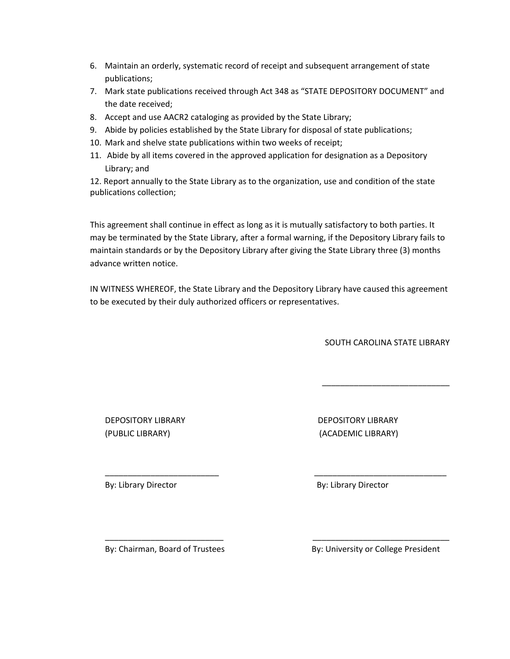- 6. Maintain an orderly, systematic record of receipt and subsequent arrangement of state publications;
- 7. Mark state publications received through Act 348 as "STATE DEPOSITORY DOCUMENT" and the date received;
- 8. Accept and use AACR2 cataloging as provided by the State Library;
- 9. Abide by policies established by the State Library for disposal of state publications;
- 10. Mark and shelve state publications within two weeks of receipt;
- 11. Abide by all items covered in the approved application for designation as a Depository Library; and

12. Report annually to the State Library as to the organization, use and condition of the state publications collection;

This agreement shall continue in effect as long as it is mutually satisfactory to both parties. It may be terminated by the State Library, after a formal warning, if the Depository Library fails to maintain standards or by the Depository Library after giving the State Library three (3) months advance written notice.

IN WITNESS WHEREOF, the State Library and the Depository Library have caused this agreement to be executed by their duly authorized officers or representatives.

\_\_\_\_\_\_\_\_\_\_\_\_\_\_\_\_\_\_\_\_\_\_\_\_\_ \_\_\_\_\_\_\_\_\_\_\_\_\_\_\_\_\_\_\_\_\_\_\_\_\_\_\_\_\_

\_\_\_\_\_\_\_\_\_\_\_\_\_\_\_\_\_\_\_\_\_\_\_\_\_\_ \_\_\_\_\_\_\_\_\_\_\_\_\_\_\_\_\_\_\_\_\_\_\_\_\_\_\_\_\_\_

SOUTH CAROLINA STATE LIBRARY

\_\_\_\_\_\_\_\_\_\_\_\_\_\_\_\_\_\_\_\_\_\_\_\_\_\_\_\_

DEPOSITORY LIBRARY DEPOSITORY LIBRARY (PUBLIC LIBRARY) (ACADEMIC LIBRARY)

By: Library Director By: Library Director

By: Chairman, Board of Trustees **By: University or College President**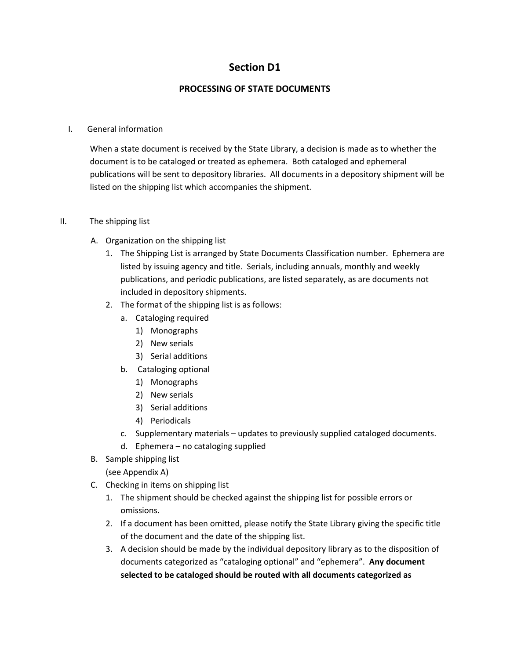## **Section D1**

#### **PROCESSING OF STATE DOCUMENTS**

#### I. General information

When a state document is received by the State Library, a decision is made as to whether the document is to be cataloged or treated as ephemera. Both cataloged and ephemeral publications will be sent to depository libraries. All documents in a depository shipment will be listed on the shipping list which accompanies the shipment.

#### II. The shipping list

- A. Organization on the shipping list
	- 1. The Shipping List is arranged by State Documents Classification number. Ephemera are listed by issuing agency and title. Serials, including annuals, monthly and weekly publications, and periodic publications, are listed separately, as are documents not included in depository shipments.
	- 2. The format of the shipping list is as follows:
		- a. Cataloging required
			- 1) Monographs
			- 2) New serials
			- 3) Serial additions
		- b. Cataloging optional
			- 1) Monographs
			- 2) New serials
			- 3) Serial additions
			- 4) Periodicals
		- c. Supplementary materials updates to previously supplied cataloged documents.
		- d. Ephemera no cataloging supplied
- B. Sample shipping list
	- (see Appendix A)
- C. Checking in items on shipping list
	- 1. The shipment should be checked against the shipping list for possible errors or omissions.
	- 2. If a document has been omitted, please notify the State Library giving the specific title of the document and the date of the shipping list.
	- 3. A decision should be made by the individual depository library as to the disposition of documents categorized as "cataloging optional" and "ephemera". **Any document selected to be cataloged should be routed with all documents categorized as**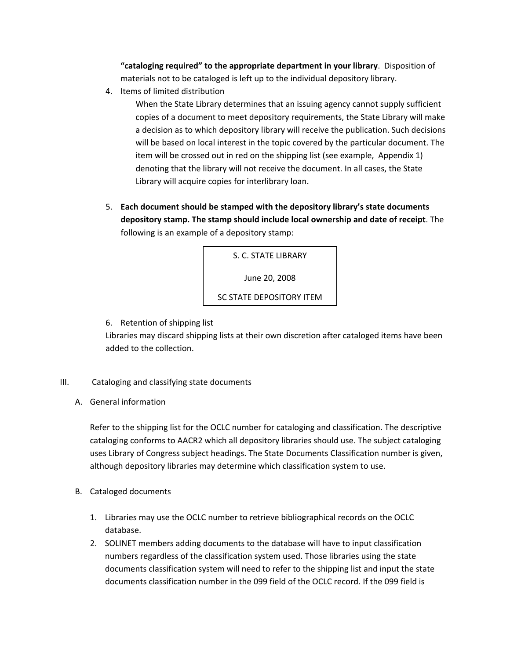**"cataloging required" to the appropriate department in your library**. Disposition of materials not to be cataloged is left up to the individual depository library.

4. Items of limited distribution

When the State Library determines that an issuing agency cannot supply sufficient copies of a document to meet depository requirements, the State Library will make a decision as to which depository library will receive the publication. Such decisions will be based on local interest in the topic covered by the particular document. The item will be crossed out in red on the shipping list (see example, Appendix 1) denoting that the library will not receive the document. In all cases, the State Library will acquire copies for interlibrary loan.

5. **Each document should be stamped with the depository library's state documents depository stamp. The stamp should include local ownership and date of receipt**. The following is an example of a depository stamp:

> S. C. STATE LIBRARY June 20, 2008

SC STATE DEPOSITORY ITEM

6. Retention of shipping list

Libraries may discard shipping lists at their own discretion after cataloged items have been added to the collection.

- III. Cataloging and classifying state documents
	- A. General information

Refer to the shipping list for the OCLC number for cataloging and classification. The descriptive cataloging conforms to AACR2 which all depository libraries should use. The subject cataloging uses Library of Congress subject headings. The State Documents Classification number is given, although depository libraries may determine which classification system to use.

- B. Cataloged documents
	- 1. Libraries may use the OCLC number to retrieve bibliographical records on the OCLC database.
	- 2. SOLINET members adding documents to the database will have to input classification numbers regardless of the classification system used. Those libraries using the state documents classification system will need to refer to the shipping list and input the state documents classification number in the 099 field of the OCLC record. If the 099 field is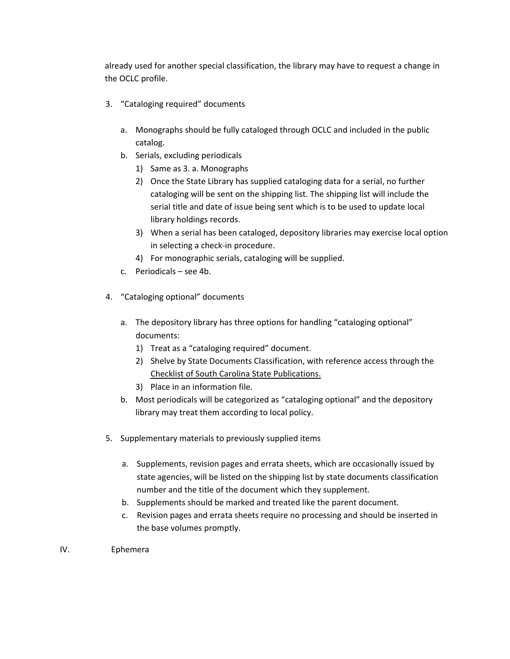already used for another special classification, the library may have to request a change in the OCLC profile.

- 3. "Cataloging required" documents
	- a. Monographs should be fully cataloged through OCLC and included in the public catalog.
	- b. Serials, excluding periodicals
		- 1) Same as 3. a. Monographs
		- 2) Once the State Library has supplied cataloging data for a serial, no further cataloging will be sent on the shipping list. The shipping list will include the serial title and date of issue being sent which is to be used to update local library holdings records.
		- 3) When a serial has been cataloged, depository libraries may exercise local option in selecting a check‐in procedure.
		- 4) For monographic serials, cataloging will be supplied.
	- c. Periodicals see 4b.
- 4. "Cataloging optional" documents
	- a. The depository library has three options for handling "cataloging optional" documents:
		- 1) Treat as a "cataloging required" document.
		- 2) Shelve by State Documents Classification, with reference access through the Checklist of South Carolina State Publications.
		- 3) Place in an information file.
	- b. Most periodicals will be categorized as "cataloging optional" and the depository library may treat them according to local policy.
- 5. Supplementary materials to previously supplied items
	- a. Supplements, revision pages and errata sheets, which are occasionally issued by state agencies, will be listed on the shipping list by state documents classification number and the title of the document which they supplement.
	- b. Supplements should be marked and treated like the parent document.
	- c. Revision pages and errata sheets require no processing and should be inserted in the base volumes promptly.
- IV. Ephemera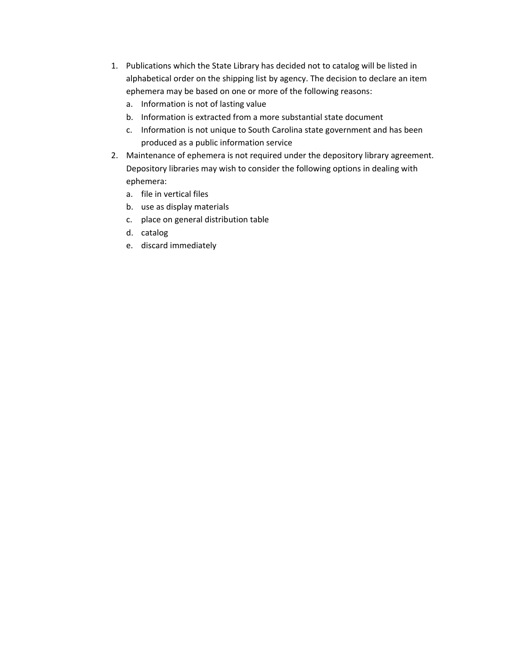- 1. Publications which the State Library has decided not to catalog will be listed in alphabetical order on the shipping list by agency. The decision to declare an item ephemera may be based on one or more of the following reasons:
	- a. Information is not of lasting value
	- b. Information is extracted from a more substantial state document
	- c. Information is not unique to South Carolina state government and has been produced as a public information service
- 2. Maintenance of ephemera is not required under the depository library agreement. Depository libraries may wish to consider the following options in dealing with ephemera:
	- a. file in vertical files
	- b. use as display materials
	- c. place on general distribution table
	- d. catalog
	- e. discard immediately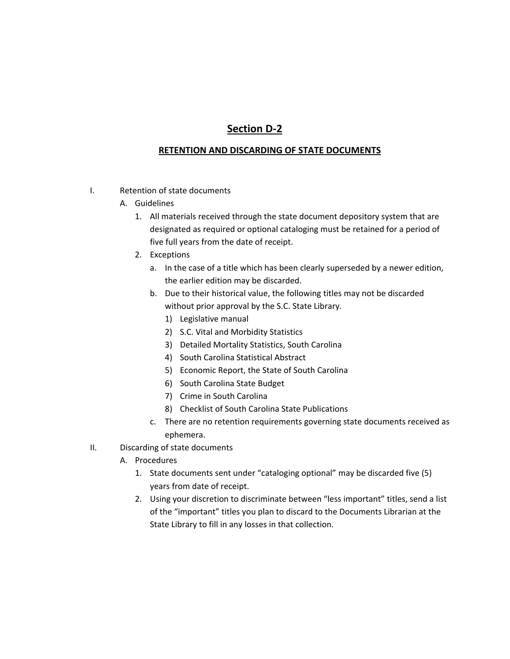# **Section D‐2**

#### **RETENTION AND DISCARDING OF STATE DOCUMENTS**

- I. Retention of state documents
	- A. Guidelines
		- 1. All materials received through the state document depository system that are designated as required or optional cataloging must be retained for a period of five full years from the date of receipt.
		- 2. Exceptions
			- a. In the case of a title which has been clearly superseded by a newer edition, the earlier edition may be discarded.
			- b. Due to their historical value, the following titles may not be discarded without prior approval by the S.C. State Library.
				- 1) Legislative manual
				- 2) S.C. Vital and Morbidity Statistics
				- 3) Detailed Mortality Statistics, South Carolina
				- 4) South Carolina Statistical Abstract
				- 5) Economic Report, the State of South Carolina
				- 6) South Carolina State Budget
				- 7) Crime in South Carolina
				- 8) Checklist of South Carolina State Publications
			- c. There are no retention requirements governing state documents received as ephemera.
- II. Discarding of state documents
	- A. Procedures
		- 1. State documents sent under "cataloging optional" may be discarded five (5) years from date of receipt.
		- 2. Using your discretion to discriminate between "less important" titles, send a list of the "important" titles you plan to discard to the Documents Librarian at the State Library to fill in any losses in that collection.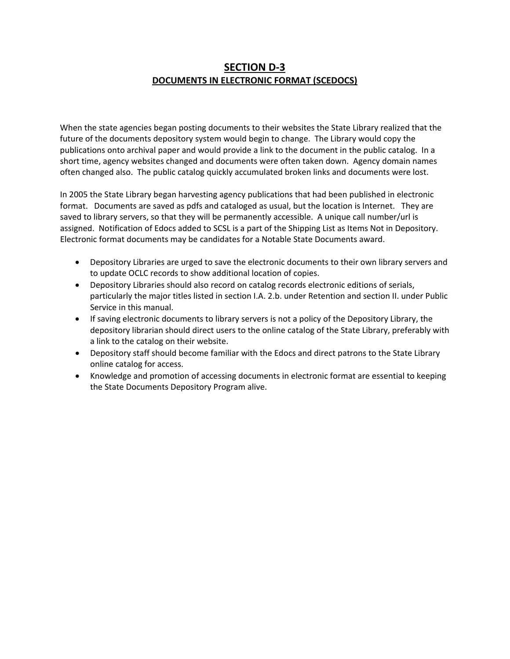## **SECTION D‐3 DOCUMENTS IN ELECTRONIC FORMAT (SCEDOCS)**

When the state agencies began posting documents to their websites the State Library realized that the future of the documents depository system would begin to change. The Library would copy the publications onto archival paper and would provide a link to the document in the public catalog. In a short time, agency websites changed and documents were often taken down. Agency domain names often changed also. The public catalog quickly accumulated broken links and documents were lost.

In 2005 the State Library began harvesting agency publications that had been published in electronic format. Documents are saved as pdfs and cataloged as usual, but the location is Internet. They are saved to library servers, so that they will be permanently accessible. A unique call number/url is assigned. Notification of Edocs added to SCSL is a part of the Shipping List as Items Not in Depository. Electronic format documents may be candidates for a Notable State Documents award.

- Depository Libraries are urged to save the electronic documents to their own library servers and to update OCLC records to show additional location of copies.
- Depository Libraries should also record on catalog records electronic editions of serials, particularly the major titles listed in section I.A. 2.b. under Retention and section II. under Public Service in this manual.
- If saving electronic documents to library servers is not a policy of the Depository Library, the depository librarian should direct users to the online catalog of the State Library, preferably with a link to the catalog on their website.
- Depository staff should become familiar with the Edocs and direct patrons to the State Library online catalog for access.
- Knowledge and promotion of accessing documents in electronic format are essential to keeping the State Documents Depository Program alive.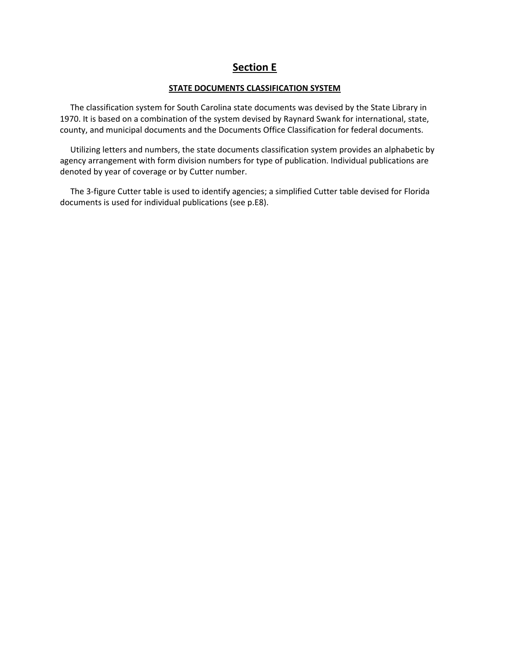## **Section E**

#### **STATE DOCUMENTS CLASSIFICATION SYSTEM**

 The classification system for South Carolina state documents was devised by the State Library in 1970. It is based on a combination of the system devised by Raynard Swank for international, state, county, and municipal documents and the Documents Office Classification for federal documents.

 Utilizing letters and numbers, the state documents classification system provides an alphabetic by agency arrangement with form division numbers for type of publication. Individual publications are denoted by year of coverage or by Cutter number.

 The 3‐figure Cutter table is used to identify agencies; a simplified Cutter table devised for Florida documents is used for individual publications (see p.E8).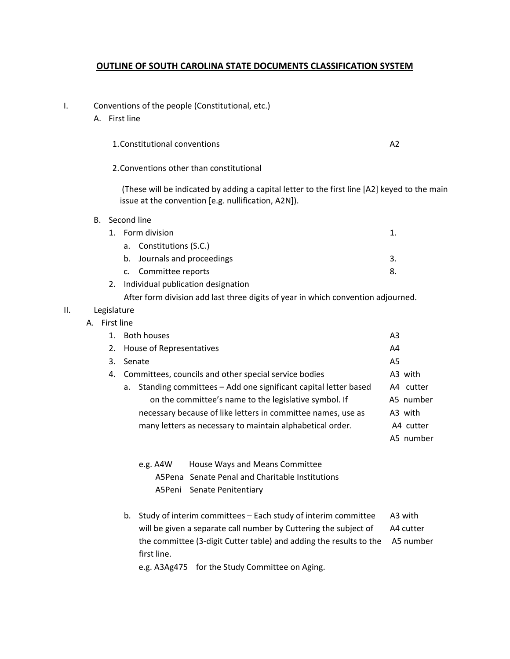#### **OUTLINE OF SOUTH CAROLINA STATE DOCUMENTS CLASSIFICATION SYSTEM**

- I. Conventions of the people (Constitutional, etc.)
	- A. First line

1.Constitutional conventions A2

2.Conventions other than constitutional

(These will be indicated by adding a capital letter to the first line [A2] keyed to the main issue at the convention [e.g. nullification, A2N]).

B. Second line

| 1. Form division                      |    |  |
|---------------------------------------|----|--|
| a. Constitutions (S.C.)               |    |  |
| b. Journals and proceedings           | 3. |  |
| c. Committee reports                  | 8. |  |
| 2. Individual publication designation |    |  |

After form division add last three digits of year in which convention adjourned.

#### II. Legislature

#### A. First line

|    | 1. Both houses                                                       | A <sub>3</sub> |
|----|----------------------------------------------------------------------|----------------|
|    | 2. House of Representatives                                          | A4             |
| 3. | Senate                                                               | A5             |
| 4. | Committees, councils and other special service bodies                | A3 with        |
|    | Standing committees - Add one significant capital letter based<br>а. | A4 cutter      |
|    | on the committee's name to the legislative symbol. If                | A5 number      |
|    | necessary because of like letters in committee names, use as         | A3 with        |
|    | many letters as necessary to maintain alphabetical order.            | A4 cutter      |
|    |                                                                      | A5 number      |
|    |                                                                      |                |

e.g. A4W House Ways and Means Committee A5Pena Senate Penal and Charitable Institutions A5Peni Senate Penitentiary

b. Study of interim committees – Each study of interim committee A3 with will be given a separate call number by Cuttering the subject of A4 cutter the committee (3-digit Cutter table) and adding the results to the A5 number first line.

e.g. A3Ag475 for the Study Committee on Aging.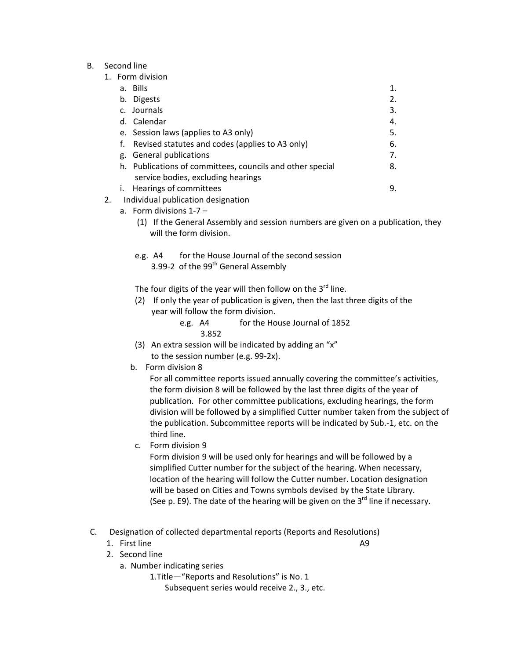B. Second line

| a. Bills                                                  | 1. |
|-----------------------------------------------------------|----|
| b. Digests                                                | 2. |
| c. Journals                                               | 3. |
| d. Calendar                                               | 4. |
| e. Session laws (applies to A3 only)                      | 5. |
| Revised statutes and codes (applies to A3 only)<br>t.     | 6. |
| g. General publications                                   | 7. |
| h. Publications of committees, councils and other special | 8. |
| service bodies, excluding hearings                        |    |
| Hearings of committees<br>$\mathbf{L}$                    | 9. |
| Individual publication designation                        |    |
|                                                           |    |

- a. Form divisions 1-7
	- (1) If the General Assembly and session numbers are given on a publication, they will the form division.
	- e.g. A4 for the House Journal of the second session 3.99-2 of the 99<sup>th</sup> General Assembly
	- The four digits of the year will then follow on the  $3<sup>rd</sup>$  line.
	- (2) If only the year of publication is given, then the last three digits of the year will follow the form division.
		- e.g. A4 for the House Journal of 1852 3.852
	- (3) An extra session will be indicated by adding an "x" to the session number (e.g. 99‐2x).
	- b. Form division 8

For all committee reports issued annually covering the committee's activities, the form division 8 will be followed by the last three digits of the year of publication. For other committee publications, excluding hearings, the form division will be followed by a simplified Cutter number taken from the subject of the publication. Subcommittee reports will be indicated by Sub.‐1, etc. on the third line.

c. Form division 9

 Form division 9 will be used only for hearings and will be followed by a simplified Cutter number for the subject of the hearing. When necessary, location of the hearing will follow the Cutter number. Location designation will be based on Cities and Towns symbols devised by the State Library. (See p. E9). The date of the hearing will be given on the  $3^{rd}$  line if necessary.

- C. Designation of collected departmental reports (Reports and Resolutions)
- 1. First line and the set of the set of the set of the set of the set of the set of the set of the set of the set of the set of the set of the set of the set of the set of the set of the set of the set of the set of the se
	- 2. Second line
		- a. Number indicating series
			- 1.Title—"Reports and Resolutions" is No. 1

Subsequent series would receive 2., 3., etc.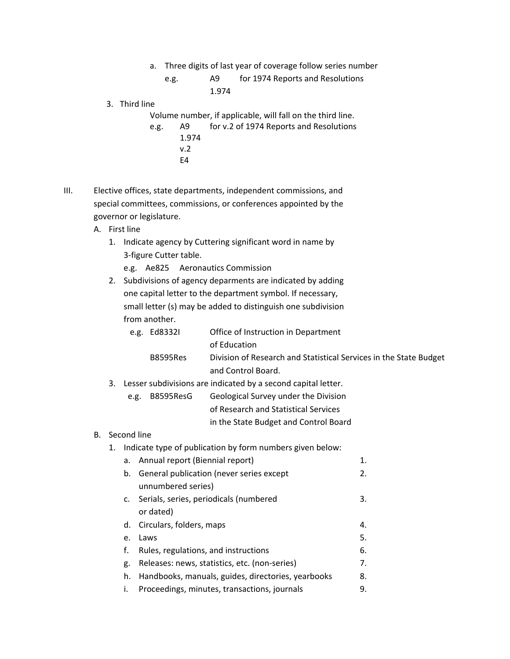- a. Three digits of last year of coverage follow series number
	- e.g. A9 for 1974 Reports and Resolutions 1.974
- 3. Third line

Volume number, if applicable, will fall on the third line.

- e.g. A9 for v.2 of 1974 Reports and Resolutions 1.974 v.2 E4
- III. Elective offices, state departments, independent commissions, and special committees, commissions, or conferences appointed by the governor or legislature.
	- A. First line

# 1. Indicate agency by Cuttering significant word in name by 3‐figure Cutter table.

- e.g. Ae825 Aeronautics Commission
- 2. Subdivisions of agency deparments are indicated by adding one capital letter to the department symbol. If necessary, small letter (s) may be added to distinguish one subdivision from another.

| e.g. Ed83321    | Office of Instruction in Department                               |
|-----------------|-------------------------------------------------------------------|
|                 | of Education                                                      |
| <b>B8595Res</b> | Division of Research and Statistical Services in the State Budget |
|                 | and Control Board.                                                |

- 3. Lesser subdivisions are indicated by a second capital letter.
	- e.g. B8595ResG Geological Survey under the Division of Research and Statistical Services in the State Budget and Control Board
- B. Second line
	- 1. Indicate type of publication by form numbers given below:

|    | a. Annual report (Biennial report)                 | 1. |
|----|----------------------------------------------------|----|
|    | b. General publication (never series except        | 2. |
|    | unnumbered series)                                 |    |
|    | c. Serials, series, periodicals (numbered          | 3. |
|    | or dated)                                          |    |
|    | d. Circulars, folders, maps                        | 4. |
| e. | Laws                                               | 5. |
| f. | Rules, regulations, and instructions               | 6. |
| g. | Releases: news, statistics, etc. (non-series)      | 7. |
| h. | Handbooks, manuals, guides, directories, yearbooks | 8. |
| i. | Proceedings, minutes, transactions, journals       | 9. |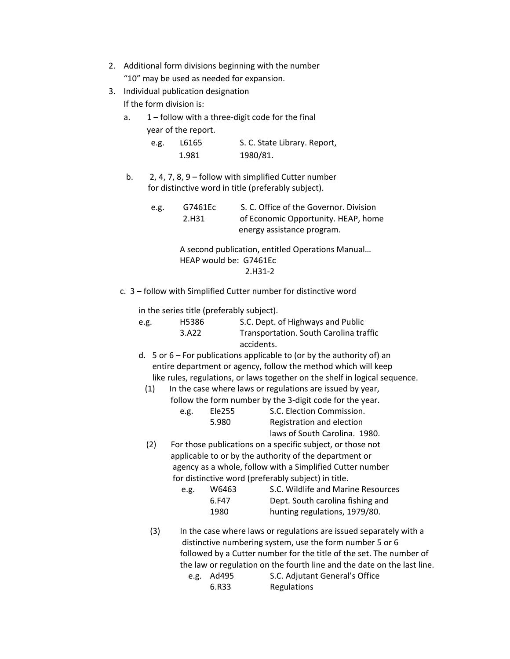| 2. Additional form divisions beginning with the number |
|--------------------------------------------------------|
| "10" may be used as needed for expansion.              |

- 3. Individual publication designation If the form division is:
	- a. 1 follow with a three-digit code for the final year of the report.

| e.g. | L6165 | S. C. State Library. Report, |
|------|-------|------------------------------|
|      | 1.981 | 1980/81.                     |

b. 2, 4, 7, 8, 9 – follow with simplified Cutter number for distinctive word in title (preferably subject).

| e.g. | G7461Ec           | S. C. Office of the Governor. Division |
|------|-------------------|----------------------------------------|
|      | 2.H <sub>31</sub> | of Economic Opportunity. HEAP, home    |
|      |                   | energy assistance program.             |

 A second publication, entitled Operations Manual… HEAP would be: G7461Ec 2.H31‐2

c. 3 – follow with Simplified Cutter number for distinctive word

in the series title (preferably subject).

| e.g. | H5386 | S.C. Dept. of Highways and Public                                             |
|------|-------|-------------------------------------------------------------------------------|
|      | 3.A22 | Transportation. South Carolina traffic                                        |
|      |       | accidents.                                                                    |
|      |       | $A = 5$ or $6 - 5$ pcr publications applicable to (or by the authority of) an |

- d.  $5$  or  $6$  For publications applicable to (or by the authority of) an entire department or agency, follow the method which will keep like rules, regulations, or laws together on the shelf in logical sequence.
	- (1) In the case where laws or regulations are issued by year, follow the form number by the 3‐digit code for the year.

| e.g. | Ele255 | S.C. Election Commission.     |
|------|--------|-------------------------------|
|      | 5.980  | Registration and election     |
|      |        | laws of South Carolina. 1980. |

 (2) For those publications on a specific subject, or those not applicable to or by the authority of the department or agency as a whole, follow with a Simplified Cutter number for distinctive word (preferably subject) in title.

| e.g. | W6463 | S.C. Wildlife and Marine Resources |
|------|-------|------------------------------------|
|      | 6.F47 | Dept. South carolina fishing and   |
|      | 1980  | hunting regulations, 1979/80.      |

 (3) In the case where laws or regulations are issued separately with a distinctive numbering system, use the form number 5 or 6 followed by a Cutter number for the title of the set. The number of the law or regulation on the fourth line and the date on the last line.<br>e.g. Ad495 S.C. Adiutant General's Office S.C. Adjutant General's Office

| C.S. AUTJJ | <b>S.C. Adjutant Ocheral S Office</b> |
|------------|---------------------------------------|
| 6.R33      | Regulations                           |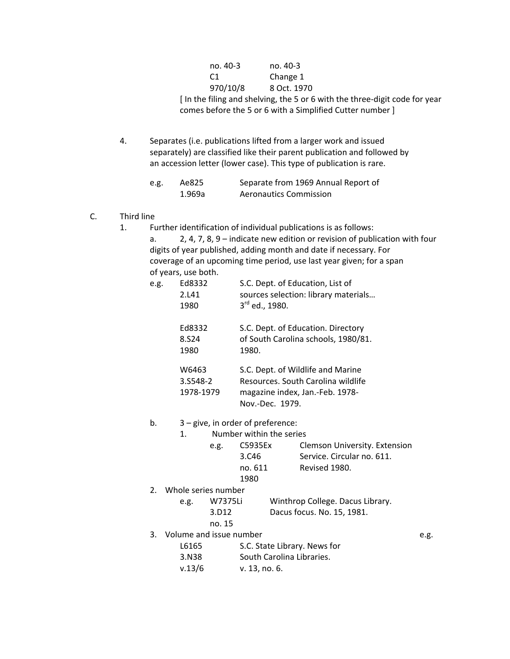| no. 40-3 | no. 40-3    |
|----------|-------------|
|          | Change 1    |
| 970/10/8 | 8 Oct. 1970 |

 [ In the filing and shelving, the 5 or 6 with the three‐digit code for year comes before the 5 or 6 with a Simplified Cutter number ]

4. Separates (i.e. publications lifted from a larger work and issued separately) are classified like their parent publication and followed by an accession letter (lower case). This type of publication is rare.

| e.g. | Ae825  | Separate from 1969 Annual Report of |
|------|--------|-------------------------------------|
|      | 1.969a | <b>Aeronautics Commission</b>       |

#### C. Third line

1. Further identification of individual publications is as follows:

 a. 2, 4, 7, 8, 9 – indicate new edition or revision of publication with four digits of year published, adding month and date if necessary. For coverage of an upcoming time period, use last year given; for a span of years, use both.

| e.g. | Ed8332<br>2.L41<br>1980             | S.C. Dept. of Education, List of<br>sources selection: library materials<br>3rd ed., 1980.                                    |
|------|-------------------------------------|-------------------------------------------------------------------------------------------------------------------------------|
|      | Ed8332<br>8.S <sub>24</sub><br>1980 | S.C. Dept. of Education. Directory<br>of South Carolina schools, 1980/81.<br>1980.                                            |
|      | W6463<br>3.S548-2<br>1978-1979      | S.C. Dept. of Wildlife and Marine<br>Resources. South Carolina wildlife<br>magazine index, Jan.-Feb. 1978-<br>Nov.-Dec. 1979. |

#### b. 3 – give, in order of preference:

1. Number within the series

| e.g. | C5935Ex | <b>Clemson University. Extension</b> |
|------|---------|--------------------------------------|
|      | 3.C46   | Service. Circular no. 611.           |
|      | no. 611 | Revised 1980.                        |
|      | 1980    |                                      |

2. Whole series number

| e.g. | W7375Li | Winthrop College. Dacus Library. |
|------|---------|----------------------------------|
|      | 3.D12   | Dacus focus. No. 15, 1981.       |
|      | no. 15  |                                  |

- 
- 3. Volume and issue number **by a strategie of the strategie of the strategie of the strategie of the strategie of the strategie of the strategie of the strategie of the strategie of the strategie of the strategie of the st** L6165 S.C. State Library. News for
	- 3.N38 South Carolina Libraries.
	- v. 13/6 v. 13, no. 6.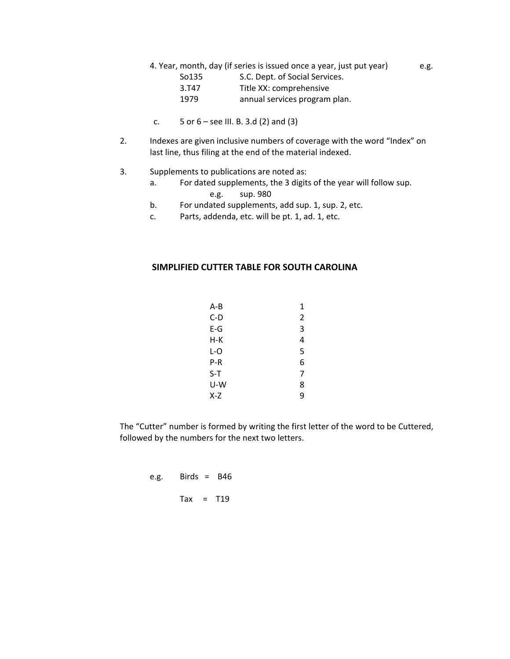- 4. Year, month, day (if series is issued once a year, just put year) e.g.
	- So135 S.C. Dept. of Social Services. 3.T47 Title XX: comprehensive 1979 **annual services program plan.**
- c.  $5$  or  $6$  see III. B. 3.d (2) and (3)
- 2. Indexes are given inclusive numbers of coverage with the word "Index" on last line, thus filing at the end of the material indexed.
- 3. Supplements to publications are noted as:
- a. For dated supplements, the 3 digits of the year will follow sup. e.g. sup. 980
	-
	- b. For undated supplements, add sup. 1, sup. 2, etc.
	- c. Parts, addenda, etc. will be pt. 1, ad. 1, etc.

#### **SIMPLIFIED CUTTER TABLE FOR SOUTH CAROLINA**

| $A - B$ | 1 |  |
|---------|---|--|
| $C-D$   | 2 |  |
| $E-G$   | 3 |  |
| $H-K$   | 4 |  |
| $L-O$   | 5 |  |
| P-R     | 6 |  |
| $S-T$   |   |  |
| U-W     | 8 |  |
| X-Z     | 9 |  |

 The "Cutter" number is formed by writing the first letter of the word to be Cuttered, followed by the numbers for the next two letters.

 e.g. Birds = B46  $\text{Tax} = \text{T19}$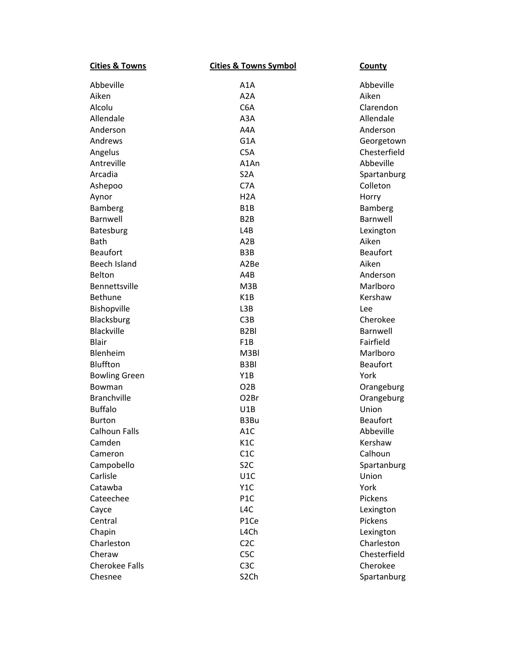| <b>Cities &amp; Towns</b> | <b>Cities &amp; Towns Symbol</b> | <b>County</b>   |
|---------------------------|----------------------------------|-----------------|
| Abbeville                 | A <sub>1</sub> A                 | Abbeville       |
| Aiken                     | A <sub>2</sub> A                 | Aiken           |
| Alcolu                    | C <sub>6</sub> A                 | Clarendon       |
| Allendale                 | A3A                              | Allendale       |
| Anderson                  | A4A                              | Anderson        |
| Andrews                   | G1A                              | Georgetown      |
| Angelus                   | C5A                              | Chesterfield    |
| Antreville                | A1An                             | Abbeville       |
| Arcadia                   | S <sub>2</sub> A                 | Spartanburg     |
| Ashepoo                   | C7A                              | Colleton        |
| Aynor                     | H <sub>2</sub> A                 | Horry           |
| Bamberg                   | B <sub>1</sub> B                 | Bamberg         |
| Barnwell                  | B <sub>2</sub> B                 | Barnwell        |
| Batesburg                 | L4B                              | Lexington       |
| Bath                      | A2B                              | Aiken           |
| <b>Beaufort</b>           | B <sub>3</sub> B                 | <b>Beaufort</b> |
| Beech Island              | A2Be                             | Aiken           |
| Belton                    | A4B                              | Anderson        |
| Bennettsville             | M3B                              | Marlboro        |
| <b>Bethune</b>            | K <sub>1</sub> B                 | Kershaw         |
| Bishopville               | L3B                              | Lee             |
| Blacksburg                | C3B                              | Cherokee        |
| Blackville                | B <sub>2</sub> BI                | Barnwell        |
| <b>Blair</b>              | F <sub>1</sub> B                 | Fairfield       |
| Blenheim                  | M3BI                             | Marlboro        |
| Bluffton                  | B3BI                             | <b>Beaufort</b> |
| <b>Bowling Green</b>      | Y1B                              | York            |
| Bowman                    | O <sub>2</sub> B                 | Orangeburg      |
| <b>Branchville</b>        | O <sub>2</sub> Br                | Orangeburg      |
| <b>Buffalo</b>            | U1B                              | Union           |
| <b>Burton</b>             | B3Bu                             | <b>Beaufort</b> |
| <b>Calhoun Falls</b>      | A1C                              | Abbeville       |
| Camden                    | K <sub>1</sub> C                 | Kershaw         |
| Cameron                   | C1C                              | Calhoun         |
| Campobello                | S <sub>2</sub> C                 | Spartanburg     |
| Carlisle                  | U1C                              | Union           |
| Catawba                   | Y <sub>1</sub> C                 | York            |
| Cateechee                 | P <sub>1</sub> C                 | Pickens         |
| Cayce                     | L <sub>4</sub> C                 | Lexington       |
| Central                   | P1Ce                             | Pickens         |
| Chapin                    | L4Ch                             | Lexington       |
| Charleston                | C <sub>2</sub> C                 | Charleston      |
| Cheraw                    | C <sub>5</sub> C                 | Chesterfield    |
| <b>Cherokee Falls</b>     | C <sub>3</sub> C                 | Cherokee        |
| Chesnee                   | S <sub>2</sub> Ch                | Spartanburg     |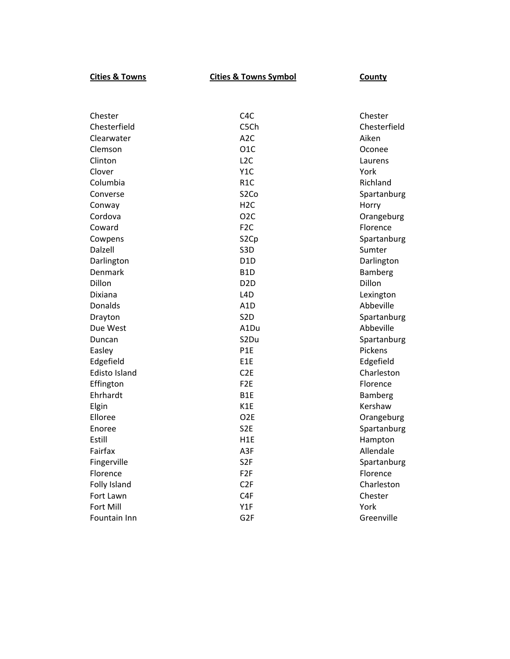**Cities & Towns Cities**

### **& Towns Symbol County**

| Chester              | C <sub>4</sub> C  | Chester        |
|----------------------|-------------------|----------------|
| Chesterfield         | C5Ch              | Chesterfield   |
| Clearwater           | A <sub>2</sub> C  | Aiken          |
| Clemson              | O <sub>1</sub> C  | Oconee         |
| Clinton              | L <sub>2</sub> C  | Laurens        |
| Clover               | Y <sub>1</sub> C  | York           |
| Columbia             | R <sub>1</sub> C  | Richland       |
| Converse             | S <sub>2</sub> Co | Spartanburg    |
| Conway               | H <sub>2</sub> C  | Horry          |
| Cordova              | O <sub>2</sub> C  | Orangeburg     |
| Coward               | F <sub>2</sub> C  | Florence       |
| Cowpens              | S <sub>2</sub> Cp | Spartanburg    |
| Dalzell              | S <sub>3</sub> D  | Sumter         |
| Darlington           | D <sub>1</sub> D  | Darlington     |
| Denmark              | B <sub>1</sub> D  | <b>Bamberg</b> |
| Dillon               | D <sub>2</sub> D  | Dillon         |
| Dixiana              | L <sub>4</sub> D  | Lexington      |
| Donalds              | A <sub>1</sub> D  | Abbeville      |
| Drayton              | S <sub>2</sub> D  | Spartanburg    |
| Due West             | A1Du              | Abbeville      |
| Duncan               | S2Du              | Spartanburg    |
| Easley               | P1E               | Pickens        |
| Edgefield            | E1E               | Edgefield      |
| <b>Edisto Island</b> | C <sub>2E</sub>   | Charleston     |
| Effington            | F <sub>2</sub> E  | Florence       |
| Ehrhardt             | B <sub>1</sub> E  | <b>Bamberg</b> |
| Elgin                | K1E               | Kershaw        |
| Elloree              | O <sub>2</sub> E  | Orangeburg     |
| Enoree               | S <sub>2</sub> E  | Spartanburg    |
| Estill               | H <sub>1</sub> E  | Hampton        |
| Fairfax              | A3F               | Allendale      |
| Fingerville          | S <sub>2F</sub>   | Spartanburg    |
| Florence             | F <sub>2F</sub>   | Florence       |
| Folly Island         | C <sub>2F</sub>   | Charleston     |
| Fort Lawn            | C <sub>4F</sub>   | Chester        |
| Fort Mill            | Y1F               | York           |
| Fountain Inn         | G <sub>2F</sub>   | Greenville     |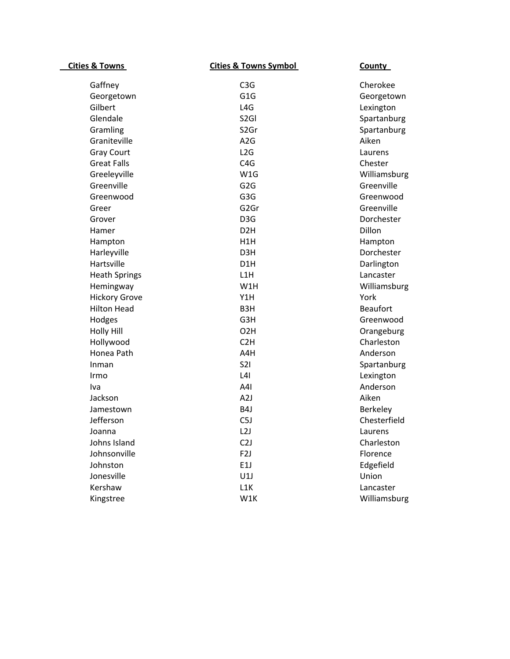| <b>Cities &amp; Towns</b> | <b>Cities &amp; Towns Symbol</b> | <b>County</b>   |
|---------------------------|----------------------------------|-----------------|
| Gaffney                   | C <sub>3</sub> G                 | Cherokee        |
| Georgetown                | G <sub>1</sub> G                 | Georgetown      |
| Gilbert                   | L <sub>4</sub> G                 | Lexington       |
| Glendale                  | S <sub>2GI</sub>                 | Spartanburg     |
| Gramling                  | S <sub>2</sub> Gr                | Spartanburg     |
| Graniteville              | A <sub>2</sub> G                 | Aiken           |
| <b>Gray Court</b>         | L2G                              | Laurens         |
| <b>Great Falls</b>        | C4G                              | Chester         |
| Greeleyville              | W1G                              | Williamsburg    |
| Greenville                | G <sub>2</sub> G                 | Greenville      |
| Greenwood                 | G <sub>3</sub> G                 | Greenwood       |
| Greer                     | G <sub>2</sub> Gr                | Greenville      |
| Grover                    | D <sub>3</sub> G                 | Dorchester      |
| Hamer                     | D <sub>2</sub> H                 | Dillon          |
| Hampton                   | H1H                              | Hampton         |
| Harleyville               | D <sub>3</sub> H                 | Dorchester      |
| Hartsville                | D <sub>1</sub> H                 | Darlington      |
| <b>Heath Springs</b>      | L1H                              | Lancaster       |
| Hemingway                 | W1H                              | Williamsburg    |
| <b>Hickory Grove</b>      | Y1H                              | York            |
| <b>Hilton Head</b>        | B <sub>3</sub> H                 | <b>Beaufort</b> |
| Hodges                    | G3H                              | Greenwood       |
| <b>Holly Hill</b>         | O <sub>2</sub> H                 | Orangeburg      |
| Hollywood                 | C <sub>2</sub> H                 | Charleston      |
| Honea Path                | A4H                              | Anderson        |
| Inman                     | <b>S21</b>                       | Spartanburg     |
| Irmo                      | L4I                              | Lexington       |
| Iva                       | A4I                              | Anderson        |
| Jackson                   | A2J                              | Aiken           |
| Jamestown                 | B4J                              | Berkeley        |
| Jefferson                 | C <sub>5J</sub>                  | Chesterfield    |
| Joanna                    | L2J                              | Laurens         |
| Johns Island              | C <sub>2</sub> J                 | Charleston      |
| Johnsonville              | F <sub>2</sub> J                 | Florence        |
| Johnston                  | E1J                              | Edgefield       |
| Jonesville                | U1J                              | Union           |
| Kershaw                   | L1K                              | Lancaster       |
| Kingstree                 | W1K                              | Williamsburg    |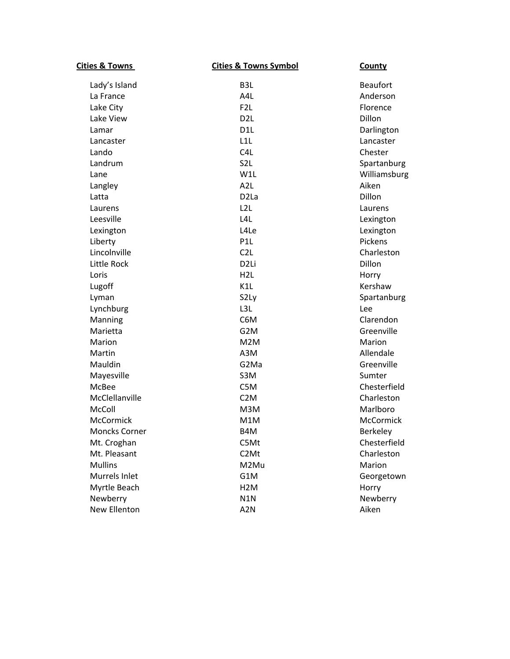| <b>Cities &amp; Towns</b> | <b>Cities &amp; Towns Symbol</b> | County           |
|---------------------------|----------------------------------|------------------|
| Lady's Island             | B <sub>3</sub> L                 | <b>Beaufort</b>  |
| La France                 | A4L                              | Anderson         |
| Lake City                 | F <sub>2</sub> L                 | Florence         |
| Lake View                 | D <sub>2</sub> L                 | Dillon           |
| Lamar                     | D <sub>1</sub> L                 | Darlington       |
| Lancaster                 | L1L                              | Lancaster        |
| Lando                     | C <sub>4</sub> L                 | Chester          |
| Landrum                   | S <sub>2</sub> L                 | Spartanburg      |
| Lane                      | W1L                              | Williamsburg     |
| Langley                   | A <sub>2</sub> L                 | Aiken            |
| Latta                     | D <sub>2</sub> La                | Dillon           |
| Laurens                   | L <sub>2</sub> L                 | Laurens          |
| Leesville                 | L <sub>4</sub> L                 | Lexington        |
| Lexington                 | L <sub>4</sub> Le                | Lexington        |
| Liberty                   | P <sub>1</sub> L                 | Pickens          |
| Lincolnville              | C2L                              | Charleston       |
| Little Rock               | D <sub>2Li</sub>                 | Dillon           |
| Loris                     | H <sub>2L</sub>                  | Horry            |
| Lugoff                    | K1L                              | Kershaw          |
| Lyman                     | S2Ly                             | Spartanburg      |
| Lynchburg                 | L3L                              | Lee              |
| Manning                   | C6M                              | Clarendon        |
| Marietta                  | G <sub>2</sub> M                 | Greenville       |
| Marion                    | M2M                              | Marion           |
| Martin                    | A3M                              | Allendale        |
| Mauldin                   | G2Ma                             | Greenville       |
| Mayesville                | S3M                              | Sumter           |
| McBee                     | C5M                              | Chesterfield     |
| McClellanville            | C <sub>2</sub> M                 | Charleston       |
| McColl                    | M3M                              | Marlboro         |
| <b>McCormick</b>          | M1M                              | <b>McCormick</b> |
| Moncks Corner             | B4M                              | <b>Berkeley</b>  |
| Mt. Croghan               | C5Mt                             | Chesterfield     |
| Mt. Pleasant              | C <sub>2</sub> Mt                | Charleston       |
| <b>Mullins</b>            | M2Mu                             | Marion           |
| Murrels Inlet             | G1M                              | Georgetown       |
| Myrtle Beach              | H <sub>2</sub> M                 | Horry            |
| Newberry                  | N1N                              | Newberry         |
| New Ellenton              | A <sub>2</sub> N                 | Aiken            |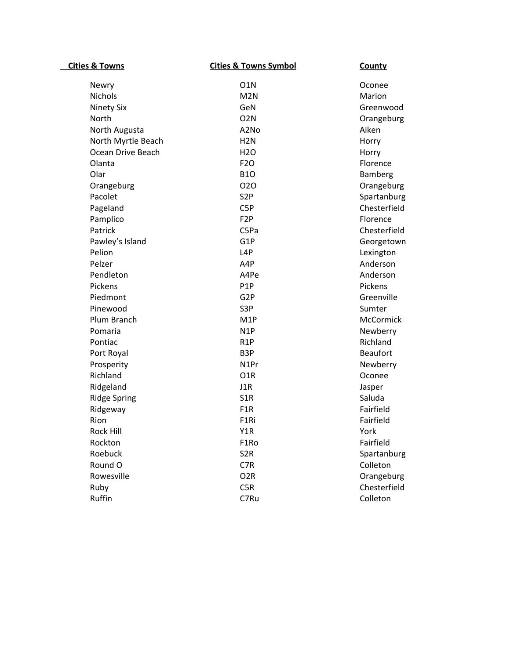| <b>Cities &amp; Towns</b> | <b>Cities &amp; Towns Symbol</b> | County          |
|---------------------------|----------------------------------|-----------------|
| Newry                     | O <sub>1</sub> N                 | Oconee          |
| <b>Nichols</b>            | M <sub>2N</sub>                  | Marion          |
| <b>Ninety Six</b>         | GeN                              | Greenwood       |
| North                     | O <sub>2</sub> N                 | Orangeburg      |
| North Augusta             | A2No                             | Aiken           |
| North Myrtle Beach        | H <sub>2N</sub>                  | Horry           |
| Ocean Drive Beach         | H <sub>20</sub>                  | Horry           |
| Olanta                    | <b>F20</b>                       | Florence        |
| Olar                      | <b>B10</b>                       | Bamberg         |
| Orangeburg                | 020                              | Orangeburg      |
| Pacolet                   | S <sub>2</sub> P                 | Spartanburg     |
| Pageland                  | C <sub>5</sub> P                 | Chesterfield    |
| Pamplico                  | F <sub>2</sub> P                 | Florence        |
| Patrick                   | C5Pa                             | Chesterfield    |
| Pawley's Island           | G1P                              | Georgetown      |
| Pelion                    | L <sub>4</sub> P                 | Lexington       |
| Pelzer                    | A4P                              | Anderson        |
| Pendleton                 | A4Pe                             | Anderson        |
| Pickens                   | P <sub>1</sub> P                 | Pickens         |
| Piedmont                  | G <sub>2</sub> P                 | Greenville      |
| Pinewood                  | S3P                              | Sumter          |
| Plum Branch               | M <sub>1</sub> P                 | McCormick       |
| Pomaria                   | N <sub>1</sub> P                 | Newberry        |
| Pontiac                   | R <sub>1</sub> P                 | Richland        |
| Port Royal                | B <sub>3</sub> P                 | <b>Beaufort</b> |
| Prosperity                | N <sub>1</sub> Pr                | Newberry        |
| Richland                  | O <sub>1</sub> R                 | Oconee          |
| Ridgeland                 | J1R                              | Jasper          |
| <b>Ridge Spring</b>       | S <sub>1</sub> R                 | Saluda          |
| Ridgeway                  | F <sub>1</sub> R                 | Fairfield       |
| Rion                      | F <sub>1</sub> Ri                | Fairfield       |
| Rock Hill                 | Y1R                              | York            |
| Rockton                   | F1Ro                             | Fairfield       |
| Roebuck                   | S <sub>2R</sub>                  | Spartanburg     |
| Round O                   | C7R                              | Colleton        |
| Rowesville                | O <sub>2</sub> R                 | Orangeburg      |
| Ruby                      | C5R                              | Chesterfield    |
| Ruffin                    | C7Ru                             | Colleton        |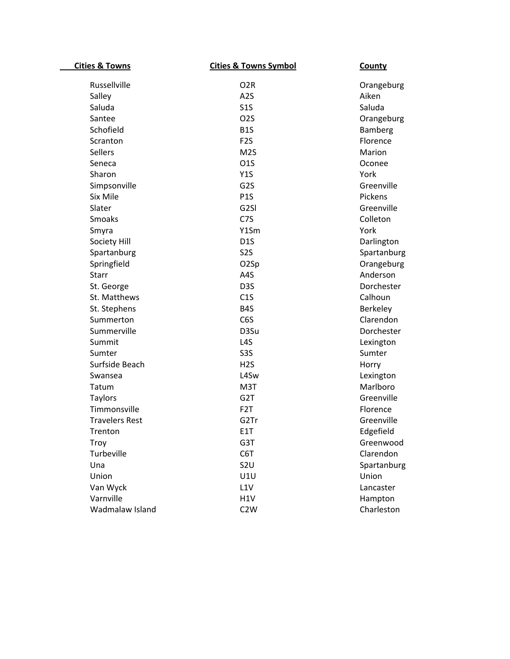| <b>Cities &amp; Towns</b> | <b>Cities &amp; Towns Symbol</b> | <b>County</b> |
|---------------------------|----------------------------------|---------------|
| Russellville              | O <sub>2R</sub>                  | Orangeburg    |
| Salley                    | A <sub>2</sub> S                 | Aiken         |
| Saluda                    | S1S                              | Saluda        |
| Santee                    | O <sub>2</sub> S                 | Orangeburg    |
| Schofield                 | B <sub>1</sub> S                 | Bamberg       |
| Scranton                  | F <sub>2</sub> S                 | Florence      |
| <b>Sellers</b>            | M <sub>2</sub> S                 | Marion        |
| Seneca                    | <b>01S</b>                       | Oconee        |
| Sharon                    | Y1S                              | York          |
| Simpsonville              | G <sub>2</sub> S                 | Greenville    |
| Six Mile                  | P <sub>1</sub> S                 | Pickens       |
| Slater                    | G <sub>2SI</sub>                 | Greenville    |
| <b>Smoaks</b>             | C7S                              | Colleton      |
| Smyra                     | Y1Sm                             | York          |
| Society Hill              | D <sub>1</sub> S                 | Darlington    |
| Spartanburg               | S <sub>2</sub> S                 | Spartanburg   |
| Springfield               | O <sub>2</sub> Sp                | Orangeburg    |
| <b>Starr</b>              | A4S                              | Anderson      |
| St. George                | D <sub>3</sub> S                 | Dorchester    |
| St. Matthews              | C1S                              | Calhoun       |
| St. Stephens              | B <sub>4</sub> S                 | Berkeley      |
| Summerton                 | C6S                              | Clarendon     |
| Summerville               | D3Su                             | Dorchester    |
| Summit                    | L <sub>4</sub> S                 | Lexington     |
| Sumter                    | S <sub>3</sub> S                 | Sumter        |
| Surfside Beach            | H <sub>2</sub> S                 | Horry         |
| Swansea                   | L4Sw                             | Lexington     |
| Tatum                     | M3T                              | Marlboro      |
| <b>Taylors</b>            | G <sub>2</sub> T                 | Greenville    |
| Timmonsville              | F <sub>2</sub> T                 | Florence      |
| <b>Travelers Rest</b>     | G2Tr                             | Greenville    |
| Trenton                   | E <sub>1</sub> T                 | Edgefield     |
| Troy                      | G3T                              | Greenwood     |
| Turbeville                | C6T                              | Clarendon     |
| Una                       | S <sub>2U</sub>                  | Spartanburg   |
| Union                     | U1U                              | Union         |
| Van Wyck                  | L1V                              | Lancaster     |
| Varnville                 | H1V                              | Hampton       |
| Wadmalaw Island           | C <sub>2</sub> W                 | Charleston    |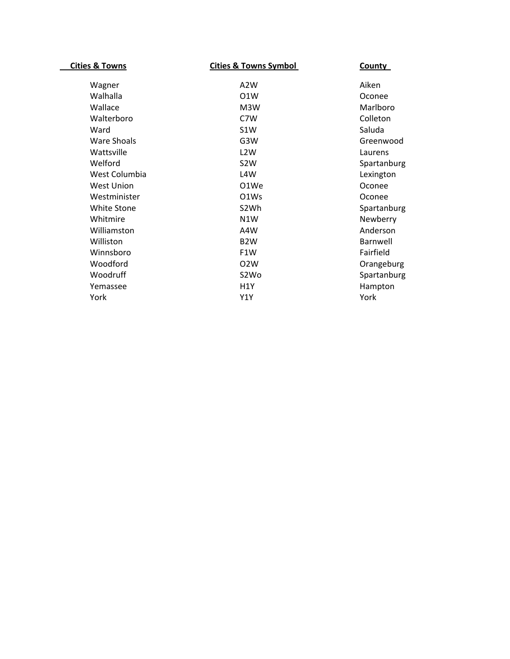| <b>Cities &amp; Towns</b> | <b>Cities &amp; Towns Symbol</b> | <b>County</b> |
|---------------------------|----------------------------------|---------------|
|                           |                                  |               |
| Wagner                    | A2W                              | Aiken         |
| Walhalla                  | O <sub>1</sub> W                 | Oconee        |
| Wallace                   | M3W                              | Marlboro      |
| Walterboro                | C7W                              | Colleton      |
| Ward                      | S <sub>1</sub> W                 | Saluda        |
| Ware Shoals               | G3W                              | Greenwood     |
| Wattsville                | L <sub>2</sub> W                 | Laurens       |
| Welford                   | S <sub>2</sub> W                 | Spartanburg   |
| West Columbia             | L4W                              | Lexington     |
| West Union                | O1We                             | Oconee        |
| Westminister              | O <sub>1</sub> W <sub>s</sub>    | Oconee        |
| <b>White Stone</b>        | S <sub>2</sub> Wh                | Spartanburg   |
| Whitmire                  | N1W                              | Newberry      |
| Williamston               | A4W                              | Anderson      |
| Williston                 | B <sub>2</sub> W                 | Barnwell      |
| Winnsboro                 | F <sub>1</sub> W                 | Fairfield     |
| Woodford                  | O <sub>2</sub> W                 | Orangeburg    |
| Woodruff                  | S <sub>2</sub> Wo                | Spartanburg   |
| Yemassee                  | H <sub>1</sub> Y                 | Hampton       |
| York                      | Y1Y                              | York          |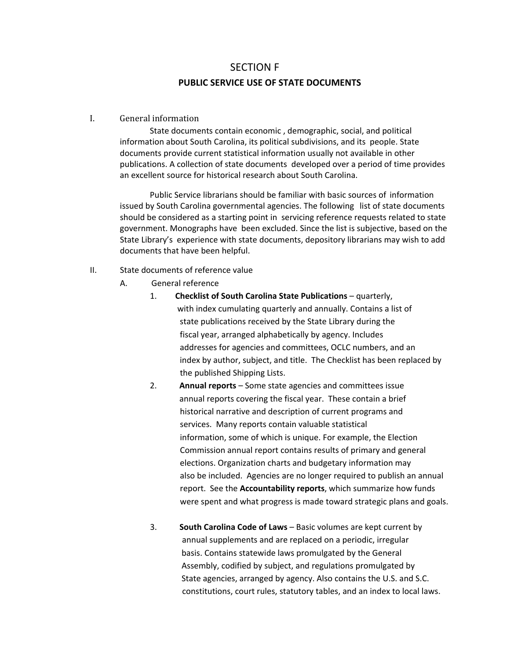# SECTION F **PUBLIC SERVICE USE OF STATE DOCUMENTS**

#### I. General information

State documents contain economic, demographic, social, and political information about South Carolina, its political subdivisions, and its people. State documents provide current statistical information usually not available in other publications. A collection of state documents developed over a period of time provides an excellent source for historical research about South Carolina.

Public Service librarians should be familiar with basic sources of information issued by South Carolina governmental agencies. The following list of state documents should be considered as a starting point in servicing reference requests related to state government. Monographs have been excluded. Since the list is subjective, based on the State Library's experience with state documents, depository librarians may wish to add documents that have been helpful.

- II. State documents of reference value
	- A. General reference
		- 1. **Checklist of South Carolina State Publications** quarterly, with index cumulating quarterly and annually. Contains a list of state publications received by the State Library during the fiscal year, arranged alphabetically by agency. Includes addresses for agencies and committees, OCLC numbers, and an index by author, subject, and title. The Checklist has been replaced by the published Shipping Lists.
		- 2. **Annual reports** Some state agencies and committees issue annual reports covering the fiscal year. These contain a brief historical narrative and description of current programs and services. Many reports contain valuable statistical information, some of which is unique. For example, the Election Commission annual report contains results of primary and general elections. Organization charts and budgetary information may also be included. Agencies are no longer required to publish an annual report. See the **Accountability reports**, which summarize how funds were spent and what progress is made toward strategic plans and goals.
		- 3. **South Carolina Code of Laws** Basic volumes are kept current by annual supplements and are replaced on a periodic, irregular basis. Contains statewide laws promulgated by the General Assembly, codified by subject, and regulations promulgated by State agencies, arranged by agency. Also contains the U.S. and S.C. constitutions, court rules, statutory tables, and an index to local laws.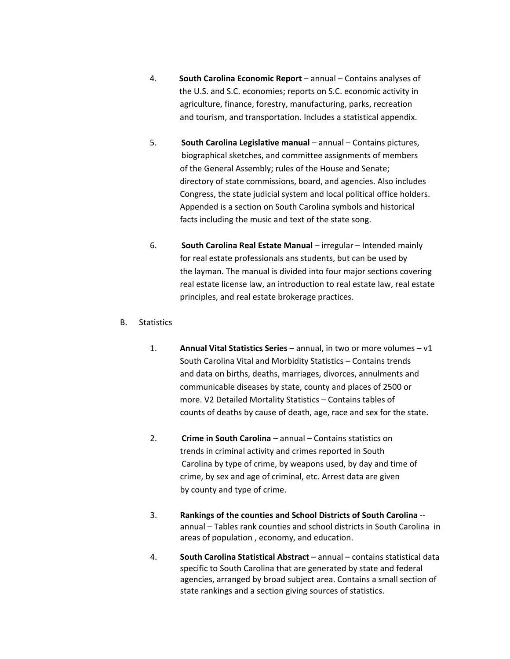- 4. **South Carolina Economic Report** annual Contains analyses of the U.S. and S.C. economies; reports on S.C. economic activity in agriculture, finance, forestry, manufacturing, parks, recreation and tourism, and transportation. Includes a statistical appendix.
- 5. **South Carolina Legislative manual** annual Contains pictures, biographical sketches, and committee assignments of members of the General Assembly; rules of the House and Senate; directory of state commissions, board, and agencies. Also includes Congress, the state judicial system and local political office holders. Appended is a section on South Carolina symbols and historical facts including the music and text of the state song.
- 6. **South Carolina Real Estate Manual** irregular Intended mainly for real estate professionals ans students, but can be used by the layman. The manual is divided into four major sections covering real estate license law, an introduction to real estate law, real estate principles, and real estate brokerage practices.

#### B. Statistics

- 1.  **Annual Vital Statistics Series** annual, in two or more volumes v1 South Carolina Vital and Morbidity Statistics – Contains trends and data on births, deaths, marriages, divorces, annulments and communicable diseases by state, county and places of 2500 or more. V2 Detailed Mortality Statistics – Contains tables of counts of deaths by cause of death, age, race and sex for the state.
- 2. **Crime in South Carolina** annual Contains statistics on trends in criminal activity and crimes reported in South Carolina by type of crime, by weapons used, by day and time of crime, by sex and age of criminal, etc. Arrest data are given by county and type of crime.
- 3. **Rankings of the counties and School Districts of South Carolina** ‐‐ annual – Tables rank counties and school districts in South Carolina in areas of population , economy, and education.
- 4. **South Carolina Statistical Abstract** annual contains statistical data specific to South Carolina that are generated by state and federal agencies, arranged by broad subject area. Contains a small section of state rankings and a section giving sources of statistics.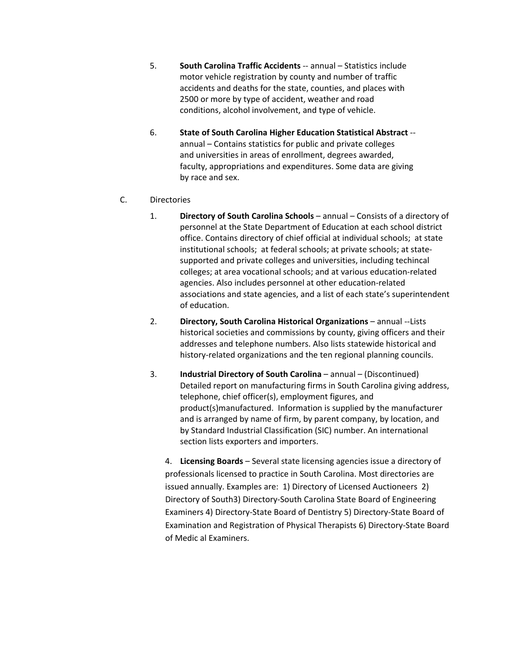- 5. **South Carolina Traffic Accidents** ‐‐ annual Statistics include motor vehicle registration by county and number of traffic accidents and deaths for the state, counties, and places with 2500 or more by type of accident, weather and road conditions, alcohol involvement, and type of vehicle.
- 6. **State of South Carolina Higher Education Statistical Abstract** ‐‐ annual – Contains statistics for public and private colleges and universities in areas of enrollment, degrees awarded, faculty, appropriations and expenditures. Some data are giving by race and sex.
- C. Directories
	- 1. **Directory of South Carolina Schools** annual Consists of a directory of personnel at the State Department of Education at each school district office. Contains directory of chief official at individual schools; at state institutional schools; at federal schools; at private schools; at state‐ supported and private colleges and universities, including techincal colleges; at area vocational schools; and at various education‐related agencies. Also includes personnel at other education‐related associations and state agencies, and a list of each state's superintendent of education.
	- 2. **Directory, South Carolina Historical Organizations** annual ‐‐Lists historical societies and commissions by county, giving officers and their addresses and telephone numbers. Also lists statewide historical and history-related organizations and the ten regional planning councils.
	- 3. **Industrial Directory of South Carolina** annual (Discontinued) Detailed report on manufacturing firms in South Carolina giving address, telephone, chief officer(s), employment figures, and product(s)manufactured. Information is supplied by the manufacturer and is arranged by name of firm, by parent company, by location, and by Standard Industrial Classification (SIC) number. An international section lists exporters and importers.

4. **Licensing Boards** – Several state licensing agencies issue a directory of professionals licensed to practice in South Carolina. Most directories are issued annually. Examples are: 1) Directory of Licensed Auctioneers 2) Directory of South3) Directory‐South Carolina State Board of Engineering Examiners 4) Directory‐State Board of Dentistry 5) Directory‐State Board of Examination and Registration of Physical Therapists 6) Directory‐State Board of Medic al Examiners.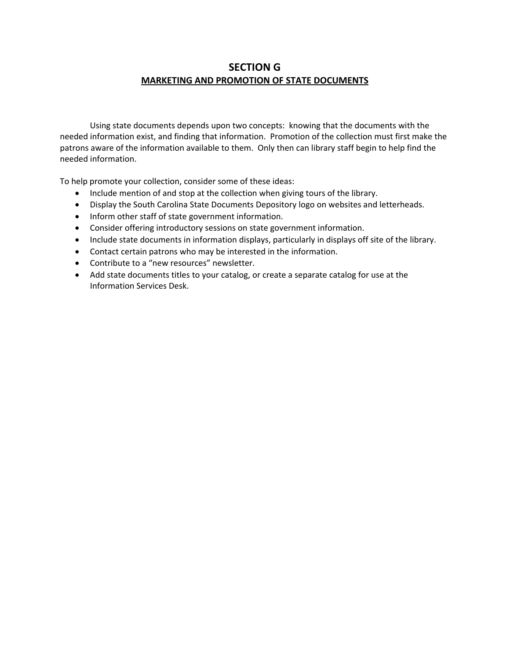## **SECTION G MARKETING AND PROMOTION OF STATE DOCUMENTS**

Using state documents depends upon two concepts: knowing that the documents with the needed information exist, and finding that information. Promotion of the collection must first make the patrons aware of the information available to them. Only then can library staff begin to help find the needed information.

To help promote your collection, consider some of these ideas:

- Include mention of and stop at the collection when giving tours of the library.
- Display the South Carolina State Documents Depository logo on websites and letterheads.
- Inform other staff of state government information.
- Consider offering introductory sessions on state government information.
- Include state documents in information displays, particularly in displays off site of the library.
- Contact certain patrons who may be interested in the information.
- Contribute to a "new resources" newsletter.
- Add state documents titles to your catalog, or create a separate catalog for use at the Information Services Desk.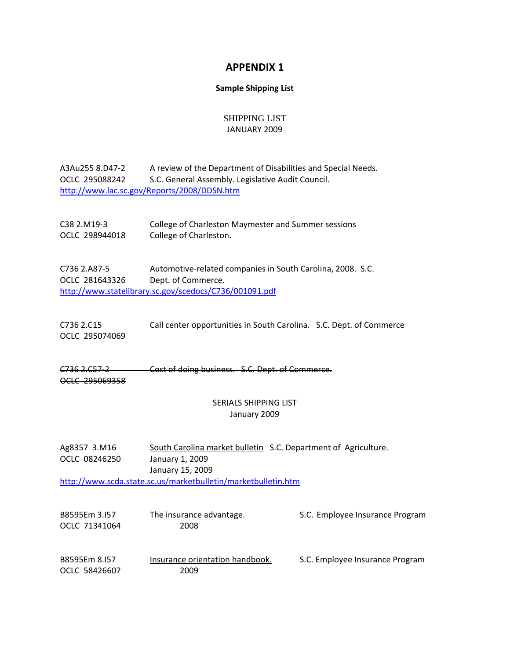## **APPENDIX 1**

#### **Sample Shipping List**

#### SHIPPING LIST JANUARY 2009

| A3Au255 8.D47-2 | A review of the Department of Disabilities and Special Needs. |
|-----------------|---------------------------------------------------------------|
| OCLC 295088242  | S.C. General Assembly. Legislative Audit Council.             |
|                 | http://www.lac.sc.gov/Reports/2008/DDSN.htm                   |

C38 2.M19‐3 College of Charleston Maymester and Summer sessions OCLC 298944018 College of Charleston.

C736 2.A87‐5 Automotive‐related companies in South Carolina, 2008. S.C. OCLC 281643326 Dept. of Commerce. <http://www.statelibrary.sc.gov/scedocs/C736/001091.pdf>

C736 2.C15 Call center opportunities in South Carolina. S.C. Dept. of Commerce OCLC 295074069

C736 2.C57‐2 Cost of doing business. S.C. Dept. of Commerce. OCLC 295069358

#### SERIALS SHIPPING LIST January 2009

Ag8357 3.M16 South Carolina market bulletin S.C. Department of Agriculture. OCLC 08246250 January 1, 2009 January 15, 2009 <http://www.scda.state.sc.us/marketbulletin/marketbulletin.htm>

| B8595Em 3.157<br>OCLC 71341064 | The insurance advantage.<br>2008        | S.C. Employee Insurance Program |
|--------------------------------|-----------------------------------------|---------------------------------|
| B8595Em 8.157<br>OCLC 58426607 | Insurance orientation handbook.<br>2009 | S.C. Employee Insurance Program |